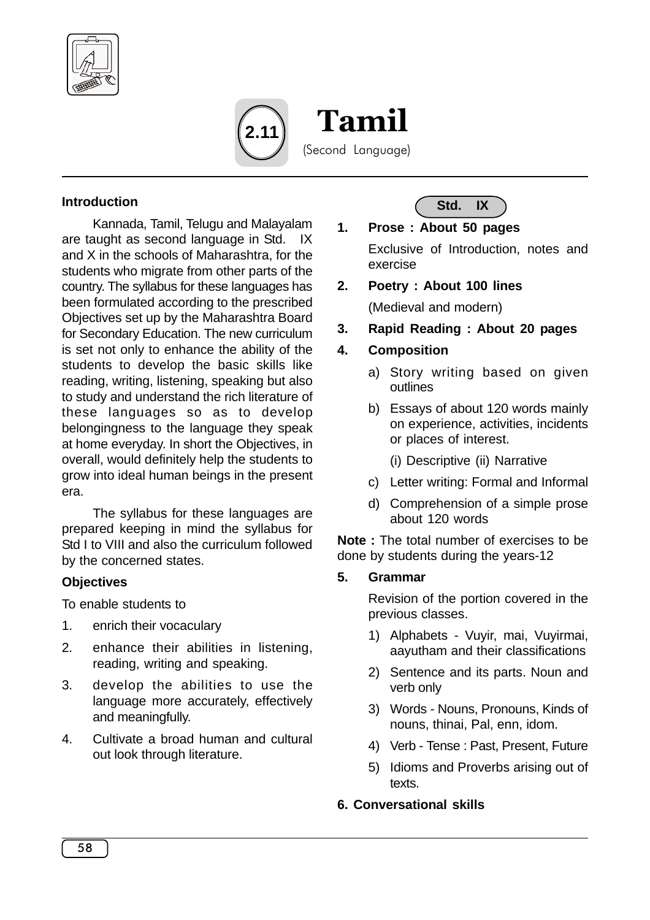



 Tamil (Second Language)

#### **Introduction**

Kannada, Tamil, Telugu and Malayalam are taught as second language in Std. IX and X in the schools of Maharashtra, for the students who migrate from other parts of the country. The syllabus for these languages has been formulated according to the prescribed Objectives set up by the Maharashtra Board for Secondary Education. The new curriculum is set not only to enhance the ability of the students to develop the basic skills like reading, writing, listening, speaking but also to study and understand the rich literature of these languages so as to develop belongingness to the language they speak at home everyday. In short the Objectives, in overall, would definitely help the students to grow into ideal human beings in the present era.

The syllabus for these languages are prepared keeping in mind the syllabus for Std I to VIII and also the curriculum followed by the concerned states.

#### **Objectives**

To enable students to

- 1. enrich their vocaculary
- 2. enhance their abilities in listening, reading, writing and speaking.
- 3. develop the abilities to use the language more accurately, effectively and meaningfully.
- 4. Cultivate a broad human and cultural out look through literature.



# **1. Prose : About 50 pages**

Exclusive of Introduction, notes and exercise

**2. Poetry : About 100 lines**

(Medieval and modern)

**3. Rapid Reading : About 20 pages**

### **4. Composition**

- a) Story writing based on given outlines
- b) Essays of about 120 words mainly on experience, activities, incidents or places of interest.
	- (i) Descriptive (ii) Narrative
- c) Letter writing: Formal and Informal
- d) Comprehension of a simple prose about 120 words

**Note :** The total number of exercises to be done by students during the years-12

#### **5. Grammar**

Revision of the portion covered in the previous classes.

- 1) Alphabets Vuyir, mai, Vuyirmai, aayutham and their classifications
- 2) Sentence and its parts. Noun and verb only
- 3) Words Nouns, Pronouns, Kinds of nouns, thinai, Pal, enn, idom.
- 4) Verb Tense : Past, Present, Future
- 5) Idioms and Proverbs arising out of texts.

#### **6. Conversational skills**